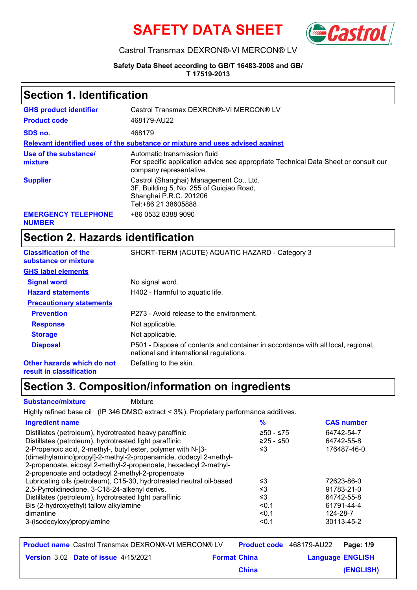



#### Castrol Transmax DEXRON®-VI MERCON® LV

**Safety Data Sheet according to GB/T 16483-2008 and GB/ T 17519-2013**

### **Section 1. Identification**

| <b>GHS product identifier</b>               | Castrol Transmax DEXRON®-VI MERCON® LV                                                                                                         |
|---------------------------------------------|------------------------------------------------------------------------------------------------------------------------------------------------|
| <b>Product code</b>                         | 468179-AU22                                                                                                                                    |
| SDS no.                                     | 468179                                                                                                                                         |
|                                             | Relevant identified uses of the substance or mixture and uses advised against                                                                  |
| Use of the substance/<br>mixture            | Automatic transmission fluid<br>For specific application advice see appropriate Technical Data Sheet or consult our<br>company representative. |
| <b>Supplier</b>                             | Castrol (Shanghai) Management Co., Ltd.<br>3F, Building 5, No. 255 of Guigiao Road,<br>Shanghai P.R.C. 201206<br>Tel:+86 21 38605888           |
| <b>EMERGENCY TELEPHONE</b><br><b>NUMBER</b> | +86 0532 8388 9090                                                                                                                             |

# **Section 2. Hazards identification**

| <b>Classification of the</b><br>substance or mixture                                                                                         | SHORT-TERM (ACUTE) AQUATIC HAZARD - Category 3                                                                              |
|----------------------------------------------------------------------------------------------------------------------------------------------|-----------------------------------------------------------------------------------------------------------------------------|
| <b>GHS label elements</b>                                                                                                                    |                                                                                                                             |
| <b>Signal word</b>                                                                                                                           | No signal word.                                                                                                             |
| <b>Hazard statements</b>                                                                                                                     | H402 - Harmful to aquatic life.                                                                                             |
| <b>Precautionary statements</b>                                                                                                              |                                                                                                                             |
| <b>Prevention</b>                                                                                                                            | P273 - Avoid release to the environment.                                                                                    |
| <b>Response</b>                                                                                                                              | Not applicable.                                                                                                             |
| <b>Storage</b>                                                                                                                               | Not applicable.                                                                                                             |
| <b>Disposal</b>                                                                                                                              | P501 - Dispose of contents and container in accordance with all local, regional,<br>national and international regulations. |
| Other hazards which do not<br>and the state of the state of the state of the state of the state of the state of the state of the state of th | Defatting to the skin.                                                                                                      |

**result in classification**

### **Section 3. Composition/information on ingredients**

**Substance/mixture** Mixture

Highly refined base oil (IP 346 DMSO extract < 3%). Proprietary performance additives.

| <b>Ingredient name</b>                                               | $\frac{9}{6}$ | <b>CAS number</b> |
|----------------------------------------------------------------------|---------------|-------------------|
| Distillates (petroleum), hydrotreated heavy paraffinic               | $≥50 - ≤75$   | 64742-54-7        |
| Distillates (petroleum), hydrotreated light paraffinic               | $≥25 - ≤50$   | 64742-55-8        |
| 2-Propenoic acid, 2-methyl-, butyl ester, polymer with N-[3-         | ≤3            | 176487-46-0       |
| (dimethylamino)propyl]-2-methyl-2-propenamide, dodecyl 2-methyl-     |               |                   |
| 2-propenoate, eicosyl 2-methyl-2-propenoate, hexadecyl 2-methyl-     |               |                   |
| 2-propenoate and octadecyl 2-methyl-2-propenoate                     |               |                   |
| Lubricating oils (petroleum), C15-30, hydrotreated neutral oil-based | ≤3            | 72623-86-0        |
| 2,5-Pyrrolidinedione, 3-C18-24-alkenyl derivs.                       | ≤3            | 91783-21-0        |
| Distillates (petroleum), hydrotreated light paraffinic               | ≤3            | 64742-55-8        |
| Bis (2-hydroxyethyl) tallow alkylamine                               | < 0.1         | 61791-44-4        |
| dimantine                                                            | < 0.1         | 124-28-7          |
| 3-(isodecyloxy)propylamine                                           | < 0.1         | 30113-45-2        |
|                                                                      |               |                   |

| <b>Product name</b> Castrol Transmax DEXRON®-VI MERCON® LV |                     |              | <b>Product code</b> 468179-AU22 Page: 1/9 |           |
|------------------------------------------------------------|---------------------|--------------|-------------------------------------------|-----------|
| <b>Version 3.02 Date of issue 4/15/2021</b>                | <b>Format China</b> |              | <b>Language ENGLISH</b>                   |           |
|                                                            |                     | <b>China</b> |                                           | (ENGLISH) |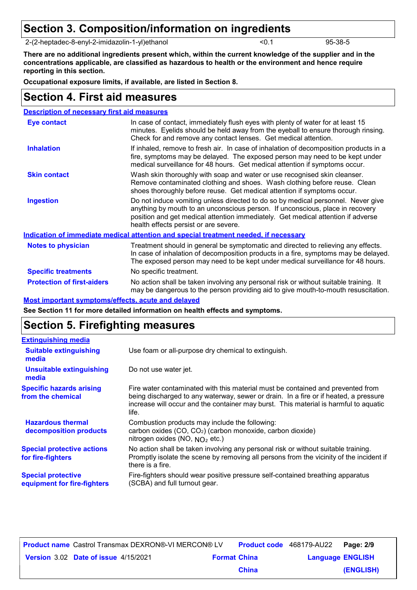### **Section 3. Composition/information on ingredients**

2-(2-heptadec-8-enyl-2-imidazolin-1-yl)ethanol <0.1 95-38-5

**There are no additional ingredients present which, within the current knowledge of the supplier and in the concentrations applicable, are classified as hazardous to health or the environment and hence require reporting in this section.**

**Occupational exposure limits, if available, are listed in Section 8.**

### **Section 4. First aid measures**

| <b>Description of necessary first aid measures</b> |                                                                                                                                                                                                                                                                                                |
|----------------------------------------------------|------------------------------------------------------------------------------------------------------------------------------------------------------------------------------------------------------------------------------------------------------------------------------------------------|
| <b>Eye contact</b>                                 | In case of contact, immediately flush eyes with plenty of water for at least 15<br>minutes. Eyelids should be held away from the eyeball to ensure thorough rinsing.<br>Check for and remove any contact lenses. Get medical attention.                                                        |
| <b>Inhalation</b>                                  | If inhaled, remove to fresh air. In case of inhalation of decomposition products in a<br>fire, symptoms may be delayed. The exposed person may need to be kept under<br>medical surveillance for 48 hours. Get medical attention if symptoms occur.                                            |
| <b>Skin contact</b>                                | Wash skin thoroughly with soap and water or use recognised skin cleanser.<br>Remove contaminated clothing and shoes. Wash clothing before reuse. Clean<br>shoes thoroughly before reuse. Get medical attention if symptoms occur.                                                              |
| <b>Ingestion</b>                                   | Do not induce vomiting unless directed to do so by medical personnel. Never give<br>anything by mouth to an unconscious person. If unconscious, place in recovery<br>position and get medical attention immediately. Get medical attention if adverse<br>health effects persist or are severe. |
|                                                    | Indication of immediate medical attention and special treatment needed, if necessary                                                                                                                                                                                                           |
| <b>Notes to physician</b>                          | Treatment should in general be symptomatic and directed to relieving any effects.<br>In case of inhalation of decomposition products in a fire, symptoms may be delayed.<br>The exposed person may need to be kept under medical surveillance for 48 hours.                                    |
| <b>Specific treatments</b>                         | No specific treatment.                                                                                                                                                                                                                                                                         |
| <b>Protection of first-aiders</b>                  | No action shall be taken involving any personal risk or without suitable training. It<br>may be dangerous to the person providing aid to give mouth-to-mouth resuscitation.                                                                                                                    |

#### **Most important symptoms/effects, acute and delayed**

**See Section 11 for more detailed information on health effects and symptoms.**

### **Section 5. Firefighting measures**

| <b>Extinguishing media</b>                               |                                                                                                                                                                                                                                                                          |
|----------------------------------------------------------|--------------------------------------------------------------------------------------------------------------------------------------------------------------------------------------------------------------------------------------------------------------------------|
| <b>Suitable extinguishing</b><br>media                   | Use foam or all-purpose dry chemical to extinguish.                                                                                                                                                                                                                      |
| <b>Unsuitable extinguishing</b><br>media                 | Do not use water jet.                                                                                                                                                                                                                                                    |
| <b>Specific hazards arising</b><br>from the chemical     | Fire water contaminated with this material must be contained and prevented from<br>being discharged to any waterway, sewer or drain. In a fire or if heated, a pressure<br>increase will occur and the container may burst. This material is harmful to aquatic<br>life. |
| <b>Hazardous thermal</b><br>decomposition products       | Combustion products may include the following:<br>carbon oxides (CO, CO <sub>2</sub> ) (carbon monoxide, carbon dioxide)<br>nitrogen oxides (NO, NO <sub>2</sub> etc.)                                                                                                   |
| <b>Special protective actions</b><br>for fire-fighters   | No action shall be taken involving any personal risk or without suitable training.<br>Promptly isolate the scene by removing all persons from the vicinity of the incident if<br>there is a fire.                                                                        |
| <b>Special protective</b><br>equipment for fire-fighters | Fire-fighters should wear positive pressure self-contained breathing apparatus<br>(SCBA) and full turnout gear.                                                                                                                                                          |

| <b>Product name</b> Castrol Transmax DEXRON®-VI MERCON® LV |                     |              | <b>Product code</b> 468179-AU22 | Page: 2/9 |
|------------------------------------------------------------|---------------------|--------------|---------------------------------|-----------|
| Version 3.02 Date of issue 4/15/2021                       | <b>Format China</b> |              | <b>Language ENGLISH</b>         |           |
|                                                            |                     | <b>China</b> |                                 | (ENGLISH) |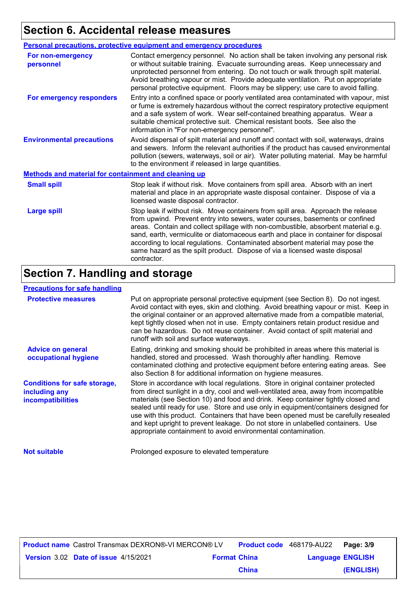# **Section 6. Accidental release measures**

|                                                             | Personal precautions, protective equipment and emergency procedures                                                                                                                                                                                                                                                                                                                                                                                                                                                      |  |  |
|-------------------------------------------------------------|--------------------------------------------------------------------------------------------------------------------------------------------------------------------------------------------------------------------------------------------------------------------------------------------------------------------------------------------------------------------------------------------------------------------------------------------------------------------------------------------------------------------------|--|--|
| <b>For non-emergency</b><br>personnel                       | Contact emergency personnel. No action shall be taken involving any personal risk<br>or without suitable training. Evacuate surrounding areas. Keep unnecessary and<br>unprotected personnel from entering. Do not touch or walk through spilt material.<br>Avoid breathing vapour or mist. Provide adequate ventilation. Put on appropriate<br>personal protective equipment. Floors may be slippery; use care to avoid falling.                                                                                        |  |  |
| For emergency responders                                    | Entry into a confined space or poorly ventilated area contaminated with vapour, mist<br>or fume is extremely hazardous without the correct respiratory protective equipment<br>and a safe system of work. Wear self-contained breathing apparatus. Wear a<br>suitable chemical protective suit. Chemical resistant boots. See also the<br>information in "For non-emergency personnel".                                                                                                                                  |  |  |
| <b>Environmental precautions</b>                            | Avoid dispersal of spilt material and runoff and contact with soil, waterways, drains<br>and sewers. Inform the relevant authorities if the product has caused environmental<br>pollution (sewers, waterways, soil or air). Water polluting material. May be harmful<br>to the environment if released in large quantities.                                                                                                                                                                                              |  |  |
| <b>Methods and material for containment and cleaning up</b> |                                                                                                                                                                                                                                                                                                                                                                                                                                                                                                                          |  |  |
| <b>Small spill</b>                                          | Stop leak if without risk. Move containers from spill area. Absorb with an inert<br>material and place in an appropriate waste disposal container. Dispose of via a<br>licensed waste disposal contractor.                                                                                                                                                                                                                                                                                                               |  |  |
| <b>Large spill</b>                                          | Stop leak if without risk. Move containers from spill area. Approach the release<br>from upwind. Prevent entry into sewers, water courses, basements or confined<br>areas. Contain and collect spillage with non-combustible, absorbent material e.g.<br>sand, earth, vermiculite or diatomaceous earth and place in container for disposal<br>according to local regulations. Contaminated absorbent material may pose the<br>same hazard as the spilt product. Dispose of via a licensed waste disposal<br>contractor. |  |  |

## **Section 7. Handling and storage**

#### **Precautions for safe handling**

| <b>Protective measures</b>                                                | Put on appropriate personal protective equipment (see Section 8). Do not ingest.<br>Avoid contact with eyes, skin and clothing. Avoid breathing vapour or mist. Keep in<br>the original container or an approved alternative made from a compatible material,<br>kept tightly closed when not in use. Empty containers retain product residue and<br>can be hazardous. Do not reuse container. Avoid contact of spilt material and<br>runoff with soil and surface waterways.                                                                                                                  |
|---------------------------------------------------------------------------|------------------------------------------------------------------------------------------------------------------------------------------------------------------------------------------------------------------------------------------------------------------------------------------------------------------------------------------------------------------------------------------------------------------------------------------------------------------------------------------------------------------------------------------------------------------------------------------------|
| <b>Advice on general</b><br>occupational hygiene                          | Eating, drinking and smoking should be prohibited in areas where this material is<br>handled, stored and processed. Wash thoroughly after handling. Remove<br>contaminated clothing and protective equipment before entering eating areas. See<br>also Section 8 for additional information on hygiene measures.                                                                                                                                                                                                                                                                               |
| <b>Conditions for safe storage,</b><br>including any<br>incompatibilities | Store in accordance with local regulations. Store in original container protected<br>from direct sunlight in a dry, cool and well-ventilated area, away from incompatible<br>materials (see Section 10) and food and drink. Keep container tightly closed and<br>sealed until ready for use. Store and use only in equipment/containers designed for<br>use with this product. Containers that have been opened must be carefully resealed<br>and kept upright to prevent leakage. Do not store in unlabelled containers. Use<br>appropriate containment to avoid environmental contamination. |
| <b>Not suitable</b>                                                       | Prolonged exposure to elevated temperature                                                                                                                                                                                                                                                                                                                                                                                                                                                                                                                                                     |

| <b>Product name</b> Castrol Transmax DEXRON®-VI MERCON® LV |                     |              | <b>Product code</b> 468179-AU22 | Page: 3/9 |
|------------------------------------------------------------|---------------------|--------------|---------------------------------|-----------|
| Version 3.02 Date of issue 4/15/2021                       | <b>Format China</b> |              | <b>Language ENGLISH</b>         |           |
|                                                            |                     | <b>China</b> |                                 | (ENGLISH) |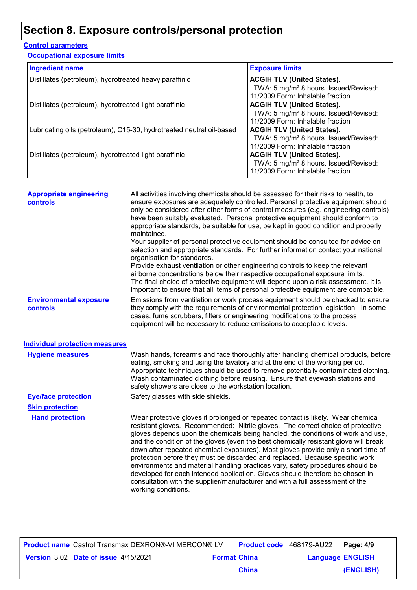# **Section 8. Exposure controls/personal protection**

#### **Control parameters**

**Occupational exposure limits**

| <b>Ingredient name</b>                                               | <b>Exposure limits</b>                            |
|----------------------------------------------------------------------|---------------------------------------------------|
| Distillates (petroleum), hydrotreated heavy paraffinic               | <b>ACGIH TLV (United States).</b>                 |
|                                                                      | TWA: 5 mg/m <sup>3</sup> 8 hours. Issued/Revised: |
|                                                                      | 11/2009 Form: Inhalable fraction                  |
| Distillates (petroleum), hydrotreated light paraffinic               | <b>ACGIH TLV (United States).</b>                 |
|                                                                      | TWA: 5 mg/m <sup>3</sup> 8 hours. Issued/Revised: |
|                                                                      | 11/2009 Form: Inhalable fraction                  |
| Lubricating oils (petroleum), C15-30, hydrotreated neutral oil-based | <b>ACGIH TLV (United States).</b>                 |
|                                                                      | TWA: 5 mg/m <sup>3</sup> 8 hours. Issued/Revised: |
|                                                                      | 11/2009 Form: Inhalable fraction                  |
| Distillates (petroleum), hydrotreated light paraffinic               | <b>ACGIH TLV (United States).</b>                 |
|                                                                      | TWA: 5 mg/m <sup>3</sup> 8 hours. Issued/Revised: |
|                                                                      | 11/2009 Form: Inhalable fraction                  |

| <b>Appropriate engineering</b><br><b>controls</b> | All activities involving chemicals should be assessed for their risks to health, to<br>ensure exposures are adequately controlled. Personal protective equipment should<br>only be considered after other forms of control measures (e.g. engineering controls)<br>have been suitably evaluated. Personal protective equipment should conform to<br>appropriate standards, be suitable for use, be kept in good condition and properly<br>maintained.                                                                                                                                                                                                                                                                                                                                           |
|---------------------------------------------------|-------------------------------------------------------------------------------------------------------------------------------------------------------------------------------------------------------------------------------------------------------------------------------------------------------------------------------------------------------------------------------------------------------------------------------------------------------------------------------------------------------------------------------------------------------------------------------------------------------------------------------------------------------------------------------------------------------------------------------------------------------------------------------------------------|
|                                                   | Your supplier of personal protective equipment should be consulted for advice on<br>selection and appropriate standards. For further information contact your national<br>organisation for standards.<br>Provide exhaust ventilation or other engineering controls to keep the relevant<br>airborne concentrations below their respective occupational exposure limits.<br>The final choice of protective equipment will depend upon a risk assessment. It is                                                                                                                                                                                                                                                                                                                                   |
|                                                   | important to ensure that all items of personal protective equipment are compatible.                                                                                                                                                                                                                                                                                                                                                                                                                                                                                                                                                                                                                                                                                                             |
| <b>Environmental exposure</b><br>controls         | Emissions from ventilation or work process equipment should be checked to ensure<br>they comply with the requirements of environmental protection legislation. In some<br>cases, fume scrubbers, filters or engineering modifications to the process<br>equipment will be necessary to reduce emissions to acceptable levels.                                                                                                                                                                                                                                                                                                                                                                                                                                                                   |
|                                                   |                                                                                                                                                                                                                                                                                                                                                                                                                                                                                                                                                                                                                                                                                                                                                                                                 |
| <b>Individual protection measures</b>             |                                                                                                                                                                                                                                                                                                                                                                                                                                                                                                                                                                                                                                                                                                                                                                                                 |
| <b>Hygiene measures</b>                           | Wash hands, forearms and face thoroughly after handling chemical products, before<br>eating, smoking and using the lavatory and at the end of the working period.<br>Appropriate techniques should be used to remove potentially contaminated clothing.<br>Wash contaminated clothing before reusing. Ensure that eyewash stations and<br>safety showers are close to the workstation location.                                                                                                                                                                                                                                                                                                                                                                                                 |
| <b>Eye/face protection</b>                        | Safety glasses with side shields.                                                                                                                                                                                                                                                                                                                                                                                                                                                                                                                                                                                                                                                                                                                                                               |
| <b>Skin protection</b>                            |                                                                                                                                                                                                                                                                                                                                                                                                                                                                                                                                                                                                                                                                                                                                                                                                 |
| <b>Hand protection</b>                            | Wear protective gloves if prolonged or repeated contact is likely. Wear chemical<br>resistant gloves. Recommended: Nitrile gloves. The correct choice of protective<br>gloves depends upon the chemicals being handled, the conditions of work and use,<br>and the condition of the gloves (even the best chemically resistant glove will break<br>down after repeated chemical exposures). Most gloves provide only a short time of<br>protection before they must be discarded and replaced. Because specific work<br>environments and material handling practices vary, safety procedures should be<br>developed for each intended application. Gloves should therefore be chosen in<br>consultation with the supplier/manufacturer and with a full assessment of the<br>working conditions. |
|                                                   |                                                                                                                                                                                                                                                                                                                                                                                                                                                                                                                                                                                                                                                                                                                                                                                                 |

|                                      | <b>Product name</b> Castrol Transmax DEXRON®-VI MERCON® LV |                     |              | <b>Product code</b> 468179-AU22 | Page: 4/9 |
|--------------------------------------|------------------------------------------------------------|---------------------|--------------|---------------------------------|-----------|
| Version 3.02 Date of issue 4/15/2021 |                                                            | <b>Format China</b> |              | <b>Language ENGLISH</b>         |           |
|                                      |                                                            |                     | <b>China</b> |                                 | (ENGLISH) |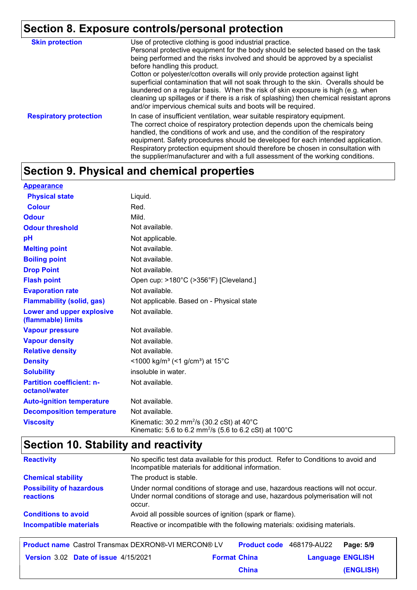# **Section 8. Exposure controls/personal protection**

| <b>Skin protection</b>        | Use of protective clothing is good industrial practice.<br>Personal protective equipment for the body should be selected based on the task<br>being performed and the risks involved and should be approved by a specialist<br>before handling this product.<br>Cotton or polyester/cotton overalls will only provide protection against light<br>superficial contamination that will not soak through to the skin. Overalls should be<br>laundered on a regular basis. When the risk of skin exposure is high (e.g. when<br>cleaning up spillages or if there is a risk of splashing) then chemical resistant aprons<br>and/or impervious chemical suits and boots will be required. |
|-------------------------------|---------------------------------------------------------------------------------------------------------------------------------------------------------------------------------------------------------------------------------------------------------------------------------------------------------------------------------------------------------------------------------------------------------------------------------------------------------------------------------------------------------------------------------------------------------------------------------------------------------------------------------------------------------------------------------------|
| <b>Respiratory protection</b> | In case of insufficient ventilation, wear suitable respiratory equipment.<br>The correct choice of respiratory protection depends upon the chemicals being<br>handled, the conditions of work and use, and the condition of the respiratory<br>equipment. Safety procedures should be developed for each intended application.<br>Respiratory protection equipment should therefore be chosen in consultation with<br>the supplier/manufacturer and with a full assessment of the working conditions.                                                                                                                                                                                 |

# **Section 9. Physical and chemical properties**

| <b>Appearance</b>                                 |                                                                                                                                   |
|---------------------------------------------------|-----------------------------------------------------------------------------------------------------------------------------------|
| <b>Physical state</b>                             | Liquid.                                                                                                                           |
| <b>Colour</b>                                     | Red.                                                                                                                              |
| <b>Odour</b>                                      | Mild.                                                                                                                             |
| <b>Odour threshold</b>                            | Not available.                                                                                                                    |
| pH                                                | Not applicable.                                                                                                                   |
| <b>Melting point</b>                              | Not available.                                                                                                                    |
| <b>Boiling point</b>                              | Not available.                                                                                                                    |
| <b>Drop Point</b>                                 | Not available.                                                                                                                    |
| <b>Flash point</b>                                | Open cup: >180°C (>356°F) [Cleveland.]                                                                                            |
| <b>Evaporation rate</b>                           | Not available.                                                                                                                    |
| <b>Flammability (solid, gas)</b>                  | Not applicable. Based on - Physical state                                                                                         |
| Lower and upper explosive<br>(flammable) limits   | Not available.                                                                                                                    |
| <b>Vapour pressure</b>                            | Not available.                                                                                                                    |
| <b>Vapour density</b>                             | Not available.                                                                                                                    |
| <b>Relative density</b>                           | Not available.                                                                                                                    |
| <b>Density</b>                                    | <1000 kg/m <sup>3</sup> (<1 g/cm <sup>3</sup> ) at 15 <sup>°</sup> C                                                              |
| <b>Solubility</b>                                 | insoluble in water.                                                                                                               |
| <b>Partition coefficient: n-</b><br>octanol/water | Not available.                                                                                                                    |
| <b>Auto-ignition temperature</b>                  | Not available.                                                                                                                    |
| <b>Decomposition temperature</b>                  | Not available.                                                                                                                    |
| <b>Viscosity</b>                                  | Kinematic: $30.2 \text{ mm}^2/\text{s}$ (30.2 cSt) at 40°C<br>Kinematic: 5.6 to 6.2 mm <sup>2</sup> /s (5.6 to 6.2 cSt) at 100 °C |

# **Section 10. Stability and reactivity**

| <b>Reactivity</b>                            | No specific test data available for this product. Refer to Conditions to avoid and<br>Incompatible materials for additional information.                                   |
|----------------------------------------------|----------------------------------------------------------------------------------------------------------------------------------------------------------------------------|
| <b>Chemical stability</b>                    | The product is stable.                                                                                                                                                     |
| <b>Possibility of hazardous</b><br>reactions | Under normal conditions of storage and use, hazardous reactions will not occur.<br>Under normal conditions of storage and use, hazardous polymerisation will not<br>occur. |
| <b>Conditions to avoid</b>                   | Avoid all possible sources of ignition (spark or flame).                                                                                                                   |
| <b>Incompatible materials</b>                | Reactive or incompatible with the following materials: oxidising materials.                                                                                                |

| <b>Product name</b> Castrol Transmax DEXRON®-VI MERCON® LV |                     |              | <b>Product code</b> 468179-AU22 Page: 5/9 |           |
|------------------------------------------------------------|---------------------|--------------|-------------------------------------------|-----------|
| Version 3.02 Date of issue 4/15/2021                       | <b>Format China</b> |              | <b>Language ENGLISH</b>                   |           |
|                                                            |                     | <b>China</b> |                                           | (ENGLISH) |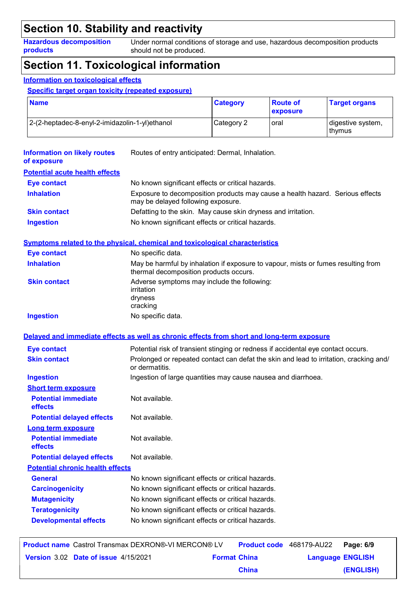### **Section 10. Stability and reactivity**

**Hazardous decomposition products**

Under normal conditions of storage and use, hazardous decomposition products should not be produced.

### **Section 11. Toxicological information**

#### **Information on toxicological effects**

**Specific target organ toxicity (repeated exposure)**

| <b>Name</b>                                    | <b>Category</b> | ∣ Route of<br>exposure | <b>Target organs</b>          |
|------------------------------------------------|-----------------|------------------------|-------------------------------|
| 2-(2-heptadec-8-enyl-2-imidazolin-1-yl)ethanol | Category 2      | oral                   | digestive system,<br>l thvmus |

| <b>Information on likely routes</b><br>of exposure | Routes of entry anticipated: Dermal, Inhalation.                                                                            |
|----------------------------------------------------|-----------------------------------------------------------------------------------------------------------------------------|
| <b>Potential acute health effects</b>              |                                                                                                                             |
| <b>Eye contact</b>                                 | No known significant effects or critical hazards.                                                                           |
| <b>Inhalation</b>                                  | Exposure to decomposition products may cause a health hazard. Serious effects<br>may be delayed following exposure.         |
| <b>Skin contact</b>                                | Defatting to the skin. May cause skin dryness and irritation.                                                               |
| <b>Ingestion</b>                                   | No known significant effects or critical hazards.                                                                           |
|                                                    | Symptoms related to the physical, chemical and toxicological characteristics                                                |
| <b>Eye contact</b>                                 | No specific data.                                                                                                           |
| <b>Inhalation</b>                                  | May be harmful by inhalation if exposure to vapour, mists or fumes resulting from<br>thermal decomposition products occurs. |
| <b>Skin contact</b>                                | Adverse symptoms may include the following:<br>irritation<br>dryness<br>cracking                                            |
| <b>Ingestion</b>                                   | No specific data.                                                                                                           |
|                                                    | Delayed and immediate effects as well as chronic effects from short and long-term exposure                                  |
| <b>Eye contact</b>                                 | Potential risk of transient stinging or redness if accidental eye contact occurs.                                           |
| <b>Skin contact</b>                                | Prolonged or repeated contact can defat the skin and lead to irritation, cracking and/<br>or dermatitis.                    |
| <b>Ingestion</b>                                   | Ingestion of large quantities may cause nausea and diarrhoea.                                                               |
| <b>Short term exposure</b>                         |                                                                                                                             |
| <b>Potential immediate</b><br>effects              | Not available.                                                                                                              |
| <b>Potential delayed effects</b>                   | Not available.                                                                                                              |
| Long term exposure                                 |                                                                                                                             |
| <b>Potential immediate</b><br>effects              | Not available.                                                                                                              |
| <b>Potential delayed effects</b>                   | Not available.                                                                                                              |
| <b>Potential chronic health effects</b>            |                                                                                                                             |
| <b>General</b>                                     | No known significant effects or critical hazards.                                                                           |
| <b>Carcinogenicity</b>                             | No known significant effects or critical hazards.                                                                           |
| <b>Mutagenicity</b>                                | No known significant effects or critical hazards.                                                                           |
| <b>Teratogenicity</b>                              | No known significant effects or critical hazards.                                                                           |
| <b>Developmental effects</b>                       | No known significant effects or critical hazards.                                                                           |
|                                                    |                                                                                                                             |

| <b>Product name</b> Castrol Transmax DEXRON®-VI MERCON® LV |                     |              | <b>Product code</b> 468179-AU22 | Page: 6/9 |
|------------------------------------------------------------|---------------------|--------------|---------------------------------|-----------|
| Version 3.02 Date of issue 4/15/2021                       | <b>Format China</b> |              | <b>Language ENGLISH</b>         |           |
|                                                            |                     | <b>China</b> |                                 | (ENGLISH) |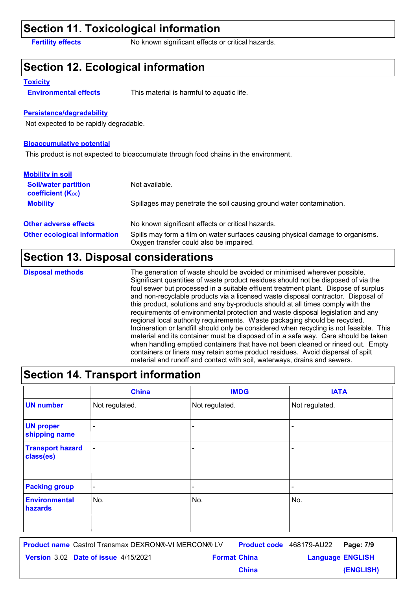### **Section 11. Toxicological information**

**Fertility effects** No known significant effects or critical hazards.

### **Section 12. Ecological information**

#### **Toxicity**

**Environmental effects** This material is harmful to aquatic life.

#### **Persistence/degradability**

Not expected to be rapidly degradable.

#### **Bioaccumulative potential**

This product is not expected to bioaccumulate through food chains in the environment.

| <b>Mobility in soil</b>                                 |                                                                                                                           |
|---------------------------------------------------------|---------------------------------------------------------------------------------------------------------------------------|
| <b>Soil/water partition</b><br><b>coefficient (Koc)</b> | Not available.                                                                                                            |
| <b>Mobility</b>                                         | Spillages may penetrate the soil causing ground water contamination.                                                      |
| <b>Other adverse effects</b>                            | No known significant effects or critical hazards.                                                                         |
| <b>Other ecological information</b>                     | Spills may form a film on water surfaces causing physical damage to organisms.<br>Oxygen transfer could also be impaired. |

### **Section 13. Disposal considerations**

### **Disposal methods**

The generation of waste should be avoided or minimised wherever possible. Significant quantities of waste product residues should not be disposed of via the foul sewer but processed in a suitable effluent treatment plant. Dispose of surplus and non-recyclable products via a licensed waste disposal contractor. Disposal of this product, solutions and any by-products should at all times comply with the requirements of environmental protection and waste disposal legislation and any regional local authority requirements. Waste packaging should be recycled. Incineration or landfill should only be considered when recycling is not feasible. This material and its container must be disposed of in a safe way. Care should be taken when handling emptied containers that have not been cleaned or rinsed out. Empty containers or liners may retain some product residues. Avoid dispersal of spilt material and runoff and contact with soil, waterways, drains and sewers.

### **Section 14. Transport information**

|                                      | <b>China</b>             | <b>IMDG</b>    | <b>IATA</b>                  |
|--------------------------------------|--------------------------|----------------|------------------------------|
| <b>UN number</b>                     | Not regulated.           | Not regulated. | Not regulated.               |
| <b>UN proper</b><br>shipping name    | $\overline{\phantom{a}}$ | -              | $\qquad \qquad \blacksquare$ |
| <b>Transport hazard</b><br>class(es) | $\overline{\phantom{a}}$ | -              | $\overline{\phantom{a}}$     |
| <b>Packing group</b>                 | $\overline{\phantom{a}}$ | -              | $\overline{\phantom{a}}$     |
| <b>Environmental</b><br>hazards      | No.                      | No.            | No.                          |
|                                      |                          |                |                              |

**Date of issue** 4/15/2021 **Format China All Language ENGLIS Product name** Castrol Transmax DEXRON®-VI MERCON® LV **Product code** 468179-AU22 Page: 7/9 | **Language ENGLISH (ENGLISH)** Product code 468179-AU22 Page: 7/9 **China**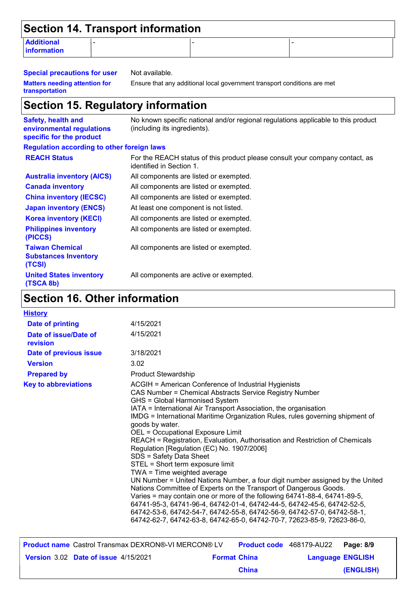| Section 14. Transport information |  |  |  |
|-----------------------------------|--|--|--|
| <b>Additional</b><br>information  |  |  |  |

**Special precautions for user** Not available. **Matters needing attention for transportation**

Ensure that any additional local government transport conditions are met

### **Section 15. Regulatory information**

**Safety, health and environmental regulations specific for the product** No known specific national and/or regional regulations applicable to this product (including its ingredients). **REACH Status** All components are active or exempted. All components are listed or exempted. All components are listed or exempted. All components are listed or exempted. At least one component is not listed. All components are listed or exempted. All components are listed or exempted. **United States inventory (TSCA 8b) Philippines inventory (PICCS) China inventory (IECSC) Canada inventory Australia inventory (AICS) Korea inventory (KECI) Japan inventory (ENCS)** For the REACH status of this product please consult your company contact, as identified in Section 1. **Taiwan Chemical Substances Inventory (TCSI)** All components are listed or exempted. **Regulation according to other foreign laws**

### **Section 16. Other information**

| <b>History</b>                    |                                                                                                                                                                                                                                                                                                                                                                                                                                                                                                                                                                                                                                                                                                                                                                                                                                                                                                                                                                                                                                                                |
|-----------------------------------|----------------------------------------------------------------------------------------------------------------------------------------------------------------------------------------------------------------------------------------------------------------------------------------------------------------------------------------------------------------------------------------------------------------------------------------------------------------------------------------------------------------------------------------------------------------------------------------------------------------------------------------------------------------------------------------------------------------------------------------------------------------------------------------------------------------------------------------------------------------------------------------------------------------------------------------------------------------------------------------------------------------------------------------------------------------|
| <b>Date of printing</b>           | 4/15/2021                                                                                                                                                                                                                                                                                                                                                                                                                                                                                                                                                                                                                                                                                                                                                                                                                                                                                                                                                                                                                                                      |
| Date of issue/Date of<br>revision | 4/15/2021                                                                                                                                                                                                                                                                                                                                                                                                                                                                                                                                                                                                                                                                                                                                                                                                                                                                                                                                                                                                                                                      |
| Date of previous issue            | 3/18/2021                                                                                                                                                                                                                                                                                                                                                                                                                                                                                                                                                                                                                                                                                                                                                                                                                                                                                                                                                                                                                                                      |
| <b>Version</b>                    | 3.02                                                                                                                                                                                                                                                                                                                                                                                                                                                                                                                                                                                                                                                                                                                                                                                                                                                                                                                                                                                                                                                           |
| <b>Prepared by</b>                | <b>Product Stewardship</b>                                                                                                                                                                                                                                                                                                                                                                                                                                                                                                                                                                                                                                                                                                                                                                                                                                                                                                                                                                                                                                     |
| <b>Key to abbreviations</b>       | ACGIH = American Conference of Industrial Hygienists<br>CAS Number = Chemical Abstracts Service Registry Number<br>GHS = Global Harmonised System<br>IATA = International Air Transport Association, the organisation<br>IMDG = International Maritime Organization Rules, rules governing shipment of<br>goods by water.<br>OEL = Occupational Exposure Limit<br>REACH = Registration, Evaluation, Authorisation and Restriction of Chemicals<br>Regulation [Regulation (EC) No. 1907/2006]<br>SDS = Safety Data Sheet<br>STEL = Short term exposure limit<br>TWA = Time weighted average<br>UN Number = United Nations Number, a four digit number assigned by the United<br>Nations Committee of Experts on the Transport of Dangerous Goods.<br>Varies = may contain one or more of the following 64741-88-4, 64741-89-5,<br>64741-95-3, 64741-96-4, 64742-01-4, 64742-44-5, 64742-45-6, 64742-52-5,<br>64742-53-6, 64742-54-7, 64742-55-8, 64742-56-9, 64742-57-0, 64742-58-1,<br>64742-62-7, 64742-63-8, 64742-65-0, 64742-70-7, 72623-85-9, 72623-86-0, |

| <b>Product name</b> Castrol Transmax DEXRON®-VI MERCON® LV |                     |              | <b>Product code</b> 468179-AU22 <b>Page: 8/9</b> |           |
|------------------------------------------------------------|---------------------|--------------|--------------------------------------------------|-----------|
| Version 3.02 Date of issue 4/15/2021                       | <b>Format China</b> |              | <b>Language ENGLISH</b>                          |           |
|                                                            |                     | <b>China</b> |                                                  | (ENGLISH) |